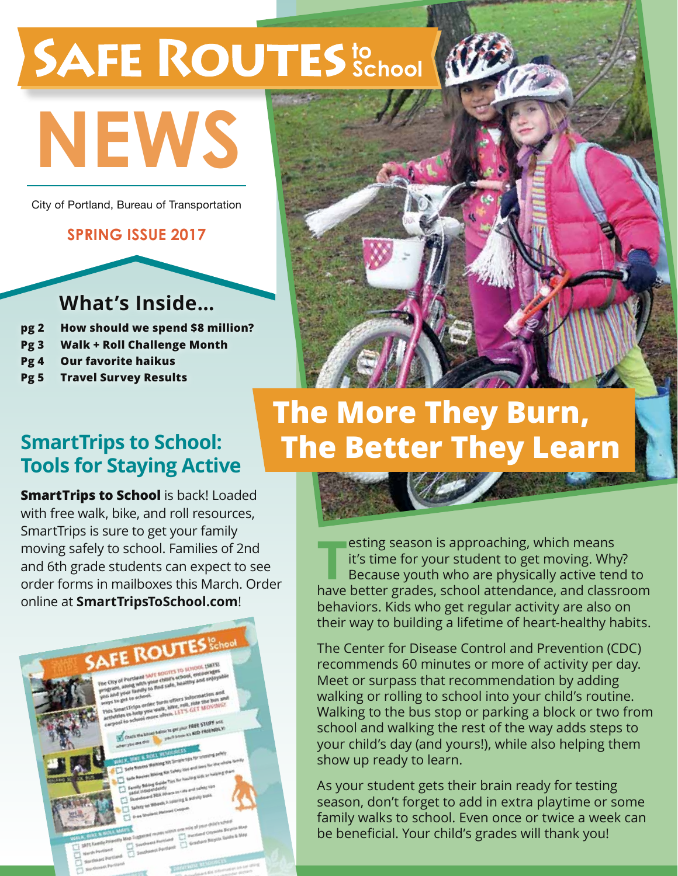# SAFE ROUTES to School

# **News**

City of Portland, Bureau of Transportation

#### **spring issue 2017**

### **What's Inside…**

- **pg 2 How should we spend \$8 million?**
- **Pg 3 Walk + Roll Challenge Month**
- **Pg 4 Our favorite haikus**
- **Pg 5 Travel Survey Results**



### **The More They Burn, The Better They Learn**

### **SmartTrips to School: Tools for Staying Active**

**SmartTrips to School** is back! Loaded with free walk, bike, and roll resources, SmartTrips is sure to get your family moving safely to school. Families of 2nd and 6th grade students can expect to see order forms in mailboxes this March. Order online at **SmartTripsToSchool.com**!



**The art of the better grades in the better grades, school attendance, and classroom**<br>have better grades, school attendance, and classroom esting season is approaching, which means it's time for your student to get moving. Why? Because youth who are physically active tend to behaviors. Kids who get regular activity are also on their way to building a lifetime of heart-healthy habits.

The Center for Disease Control and Prevention (CDC) recommends 60 minutes or more of activity per day. Meet or surpass that recommendation by adding walking or rolling to school into your child's routine. Walking to the bus stop or parking a block or two from school and walking the rest of the way adds steps to your child's day (and yours!), while also helping them show up ready to learn.

As your student gets their brain ready for testing season, don't forget to add in extra playtime or some family walks to school. Even once or twice a week can be beneficial. Your child's grades will thank you!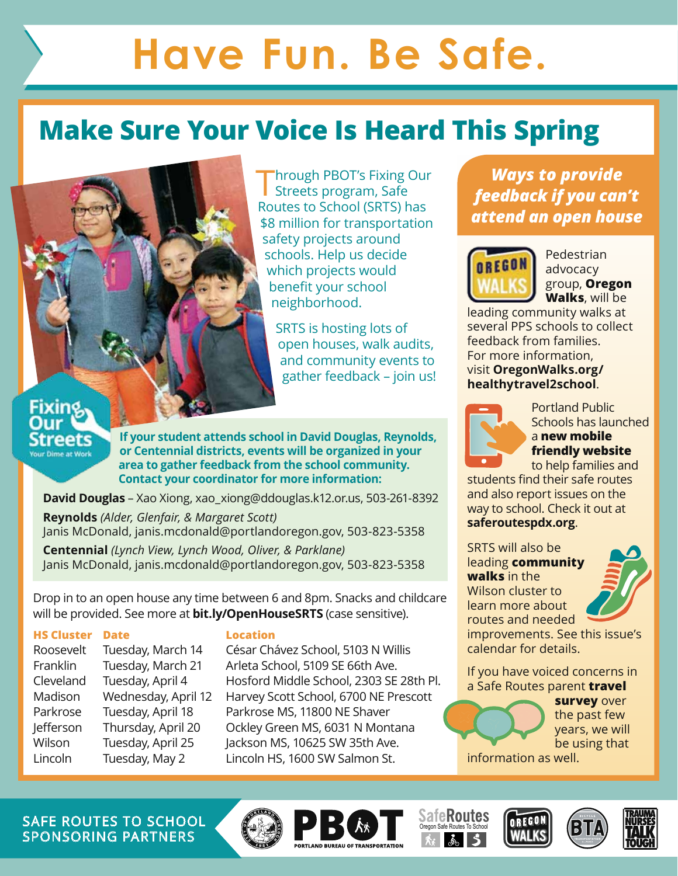## **Have Fun. Be Safe.**

### **Make Sure Your Voice Is Heard This Spring**

**Through PBOT's Fixing Our** Streets program, Safe Routes to School (SRTS) has \$8 million for transportation safety projects around schools. Help us decide which projects would benefit your school neighborhood.

SRTS is hosting lots of open houses, walk audits, and community events to gather feedback – join us!

### Fixine Streets **Your Dime at Work**

**If your student attends school in David Douglas, Reynolds, or Centennial districts, events will be organized in your area to gather feedback from the school community. Contact your coordinator for more information:**

**David Douglas** – Xao Xiong, xao\_xiong@ddouglas.k12.or.us, 503-261-8392

**Reynolds** *(Alder, Glenfair, & Margaret Scott)*  Janis McDonald, janis.mcdonald@portlandoregon.gov, 503-823-5358

**Centennial** *(Lynch View, Lynch Wood, Oliver, & Parklane)*  Janis McDonald, janis.mcdonald@portlandoregon.gov, 503-823-5358

Drop in to an open house any time between 6 and 8pm. Snacks and childcare will be provided. See more at **bit.ly/OpenHouseSRTS** (case sensitive).

#### **HS Cluster Date Location**

Franklin Tuesday, March 21 Arleta School, 5109 SE 66th Ave. Parkrose Tuesday, April 18 Parkrose MS, 11800 NE Shaver Lincoln Tuesday, May 2 Lincoln HS, 1600 SW Salmon St.

Roosevelt Tuesday, March 14 César Chávez School, 5103 N Willis Cleveland Tuesday, April 4 Hosford Middle School, 2303 SE 28th Pl. Madison Wednesday, April 12 Harvey Scott School, 6700 NE Prescott Jefferson Thursday, April 20 Ockley Green MS, 6031 N Montana Wilson Tuesday, April 25 Jackson MS, 10625 SW 35th Ave.

*Ways to provide feedback if you can't attend an open house*



Pedestrian advocacy group, **Oregon Walks**, will be

leading community walks at several PPS schools to collect feedback from families. For more information, visit **OregonWalks.org/ healthytravel2school**.



Portland Public Schools has launched a **new mobile friendly website** to help families and

students find their safe routes and also report issues on the way to school. Check it out at **saferoutespdx.org**.

SRTS will also be leading **community walks** in the Wilson cluster to learn more about routes and needed



improvements. See this issue's calendar for details.

If you have voiced concerns in a Safe Routes parent **travel** 

**survey** over the past few years, we will be using that

information as well.

SAFE ROUTES TO SCHOOL  $\left(\begin{matrix} 1 & 1 \end{matrix}\right)$   $\left[\begin{matrix} 1 & 1 \end{matrix}\right]$   $\left[\begin{matrix} 2 & 1 \end{matrix}\right]$   $\left[\begin{matrix} 3 & 1 \end{matrix}\right]$   $\left[\begin{matrix} 3 & 1 \end{matrix}\right]$ Sponsoring Partners











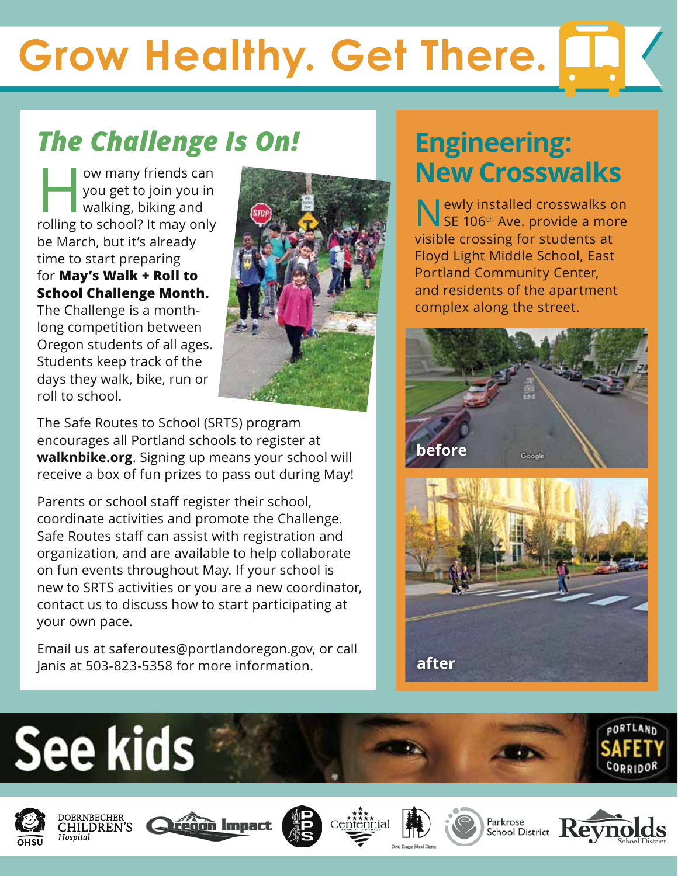# **Grow Healthy. Get There.**

### *The Challenge Is On!*

ow many friends can<br>you get to join you in<br>walking, biking and<br>rolling to school? It may only you get to join you in walking, biking and rolling to school? It may only be March, but it's already time to start preparing for **May's Walk + Roll to School Challenge Month.** The Challenge is a monthlong competition between Oregon students of all ages. Students keep track of the

days they walk, bike, run or

roll to school.



The Safe Routes to School (SRTS) program encourages all Portland schools to register at **walknbike.org**. Signing up means your school will receive a box of fun prizes to pass out during May!

Parents or school staff register their school, coordinate activities and promote the Challenge. Safe Routes staff can assist with registration and organization, and are available to help collaborate on fun events throughout May. If your school is new to SRTS activities or you are a new coordinator, contact us to discuss how to start participating at your own pace.

Email us at saferoutes@portlandoregon.gov, or call Janis at 503-823-5358 for more information. **after**

### **Engineering: New Crosswalks**

**N** ewly installed crosswalks on SE 106<sup>th</sup> Ave. provide a more visible crossing for students at Floyd Light Middle School, East Portland Community Center, and residents of the apartment complex along the street.

















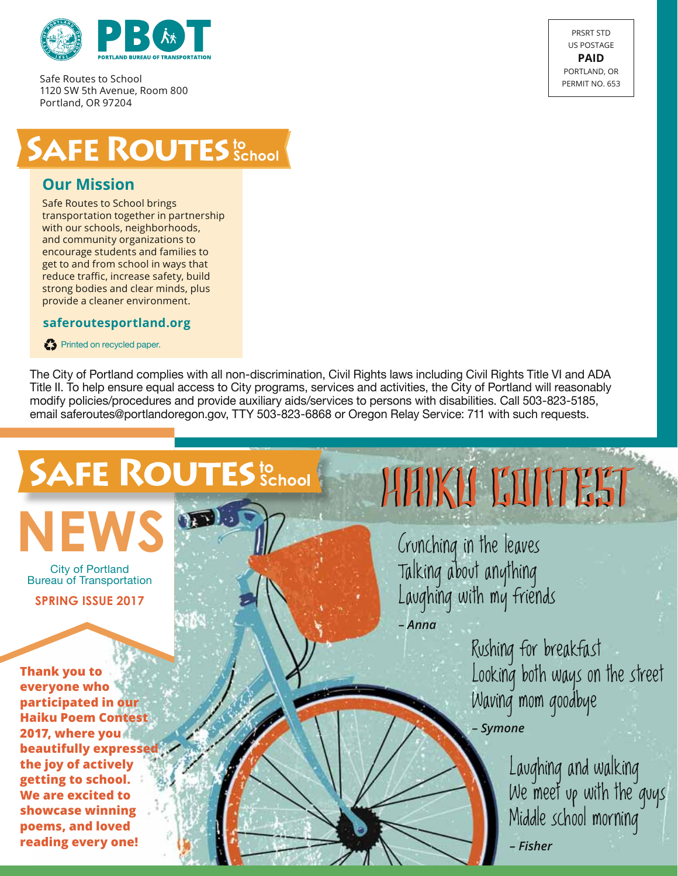

Safe Routes to School 1120 SW 5th Avenue, Room 800 Portland, OR 97204



### **SAFE ROUTES** School

#### **Our Mission**

Safe Routes to School brings transportation together in partnership with our schools, neighborhoods, and community organizations to encourage students and families to get to and from school in ways that reduce traffic, increase safety, build strong bodies and clear minds, plus provide a cleaner environment.

#### **saferoutesportland.org**

Printed on recycled paper.

The City of Portland complies with all non-discrimination, Civil Rights laws including Civil Rights Title VI and ADA Title II. To help ensure equal access to City programs, services and activities, the City of Portland will reasonably modify policies/procedures and provide auxiliary aids/services to persons with disabilities. Call 503-823-5185, email saferoutes@portlandoregon.gov, TTY 503-823-6868 or Oregon Relay Service: 711 with such requests.

### **SAFE ROUTES** to School



City of Portland Bureau of Transportation

**spring Issue 2017**

**Thank you to everyone who participated in our Haiku Poem Contest 2017, where you beautifully expressed the joy of actively getting to school. We are excited to showcase winning poems, and loved reading every one!** 

# Haiku Contest Haiku Contest

Crunching in the leaves Talking about anything Laughing with my friends *– Anna*

> Rushing for breakfast Looking both ways on the street Waving mom goodbye *– Symone*

> > Laughing and walking We meet up with the quys Middle school morning *– Fisher*